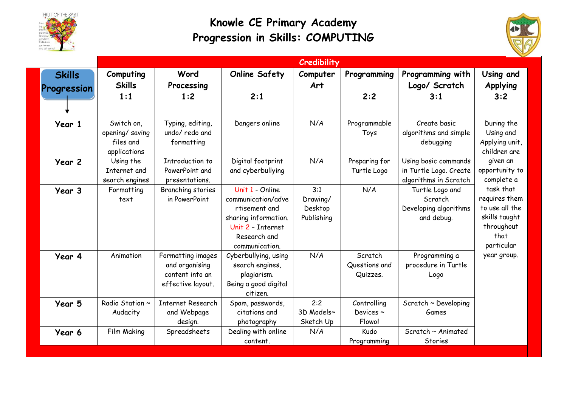

## **Knowle CE Primary Academy Progression in Skills: COMPUTING**



|  |                              | Credibility                                               |                                                                             |                                                                                                                                       |                                          |                                      |                                                                         |                                                                                                                                                                                                                           |
|--|------------------------------|-----------------------------------------------------------|-----------------------------------------------------------------------------|---------------------------------------------------------------------------------------------------------------------------------------|------------------------------------------|--------------------------------------|-------------------------------------------------------------------------|---------------------------------------------------------------------------------------------------------------------------------------------------------------------------------------------------------------------------|
|  | <b>Skills</b><br>Progression | Computing<br><b>Skills</b>                                | Word<br>Processing                                                          | <b>Online Safety</b>                                                                                                                  | Computer<br>Art                          | Programming                          | Programming with<br>Logo/ Scratch                                       | Using and<br>Applying                                                                                                                                                                                                     |
|  |                              | 1:1                                                       | 1:2                                                                         | 2:1                                                                                                                                   |                                          | 2:2                                  | 3:1                                                                     | 3:2                                                                                                                                                                                                                       |
|  | Year 1                       | Switch on.<br>opening/saving<br>files and<br>applications | Typing, editing,<br>undo/ redo and<br>formatting                            | Dangers online                                                                                                                        | N/A                                      | Programmable<br>Toys                 | Create basic<br>algorithms and simple<br>debugging                      | During the<br>Using and<br>Applying unit,<br>children are<br>given an<br>opportunity to<br>complete a<br>task that<br>requires them<br>to use all the<br>skills taught<br>throughout<br>that<br>particular<br>year group. |
|  | Year 2                       | Using the<br>Internet and<br>search engines               | Introduction to<br>PowerPoint and<br>presentations.                         | Digital footprint<br>and cyberbullying                                                                                                | N/A                                      | Preparing for<br>Turtle Logo         | Using basic commands<br>in Turtle Logo. Create<br>algorithms in Scratch |                                                                                                                                                                                                                           |
|  | Year 3                       | Formatting<br>text                                        | Branching stories<br>in PowerPoint                                          | Unit 1 - Online<br>communication/adve<br>rtisement and<br>sharing information.<br>Unit 2 - Internet<br>Research and<br>communication. | 3:1<br>Drawing/<br>Desktop<br>Publishing | N/A                                  | Turtle Logo and<br>Scratch<br>Developing algorithms<br>and debug.       |                                                                                                                                                                                                                           |
|  | Year 4                       | Animation                                                 | Formatting images<br>and organising<br>content into an<br>effective layout. | Cyberbullying, using<br>search engines,<br>plagiarism.<br>Being a good digital<br>citizen.                                            | N/A                                      | Scratch<br>Questions and<br>Quizzes. | Programming a<br>procedure in Turtle<br>Logo                            |                                                                                                                                                                                                                           |
|  | Year 5                       | Radio Station ~<br>Audacity                               | <b>Internet Research</b><br>and Webpage<br>design.                          | Spam, passwords,<br>citations and<br>photography                                                                                      | 2:2<br>3D Models~<br>Sketch Up           | Controlling<br>Devices ~<br>Flowol   | Scratch ~ Developing<br>Games                                           |                                                                                                                                                                                                                           |
|  | Year 6                       | <b>Film Making</b>                                        | Spreadsheets                                                                | Dealing with online<br>content.                                                                                                       | N/A                                      | Kudo<br>Programming                  | Scratch ~ Animated<br>Stories                                           |                                                                                                                                                                                                                           |